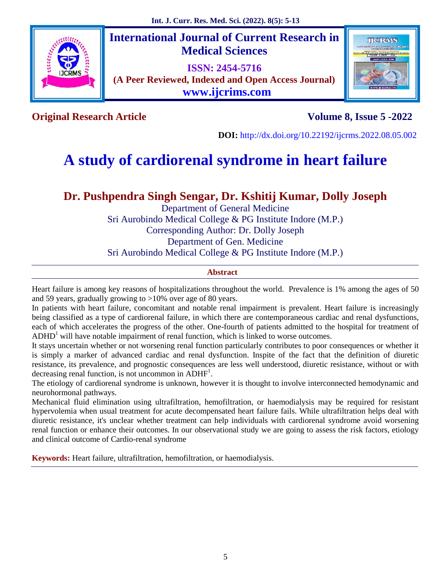

**International Journal of Current Research in Medical Sciences**

**ISSN: 2454-5716 (A Peer Reviewed, Indexed and Open Access Journal) www.ijcrims.com**



**Original Research Article Volume 8, Issue 5 -2022**

**DOI:** http://dx.doi.org/10.22192/ijcrms.2022.08.05.002

# **A study of cardiorenal syndrome in heart failure**

# **Dr. Pushpendra Singh Sengar, Dr. Kshitij Kumar, Dolly Joseph**

Department of General Medicine Sri Aurobindo Medical College & PG Institute Indore (M.P.) Corresponding Author: Dr. Dolly Joseph Department of Gen. Medicine Sri Aurobindo Medical College & PG Institute Indore (M.P.)

# **Abstract**

Heart failure is among key reasons of hospitalizations throughout the world. Prevalence is 1% among the ages of 50 and 59 years, gradually growing to >10% over age of 80 years.

In patients with heart failure, concomitant and notable renal impairment is prevalent. Heart failure is increasingly being classified as a type of cardiorenal failure, in which there are contemporaneous cardiac and renal dysfunctions, each of which accelerates the progress of the other. One-fourth of patients admitted to the hospital for treatment of  $ADHD<sup>1</sup>$  will have notable impairment of renal function, which is linked to worse outcomes.

It stays uncertain whether or not worsening renal function particularly contributes to poor consequences or whether it is simply a marker of advanced cardiac and renal dysfunction. Inspite of the fact that the definition of diuretic resistance, its prevalence, and prognostic consequences are less well understood, diuretic resistance, without or with decreasing renal function, is not uncommon in ADHF<sup>1</sup>.

The etiology of cardiorenal syndrome is unknown, however it is thought to involve interconnected hemodynamic and neurohormonal pathways.

Mechanical fluid elimination using ultrafiltration, hemofiltration, or haemodialysis may be required for resistant hypervolemia when usual treatment for acute decompensated heart failure fails. While ultrafiltration helps deal with diuretic resistance, it's unclear whether treatment can help individuals with cardiorenal syndrome avoid worsening renal function or enhance their outcomes. In our observational study we are going to assess the risk factors, etiology and clinical outcome of Cardio-renal syndrome

**Keywords:** Heart failure, ultrafiltration, hemofiltration, or haemodialysis.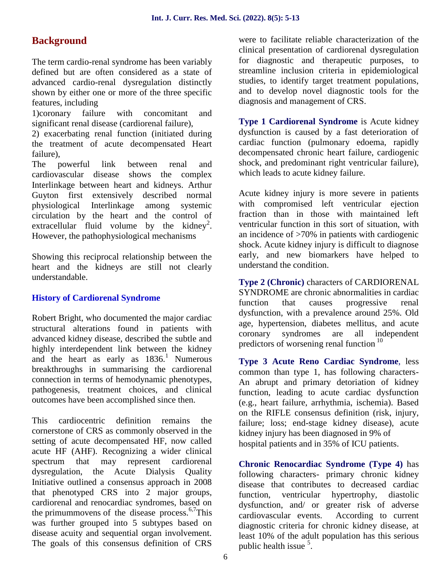# **Background**

The term cardio-renal syndrome has been variably defined but are often considered as a state of advanced cardio-renal dysregulation distinctly shown by either one or more of the three specific features, including

1)coronary failure with concomitant and significant renal disease (cardiorenal failure),

2) exacerbating renal function (initiated during the treatment of acute decompensated Heart failure),

The powerful link between renal and cardiovascular disease shows the complex Interlinkage between heart and kidneys. Arthur Guyton first extensively described normal physiological Interlinkage among systemic circulation by the heart and the control of extracellular fluid volume by the kidney<sup>2</sup>. However, the pathophysiological mechanisms

Showing this reciprocal relationship between the heart and the kidneys are still not clearly understandable.

# **History of Cardiorenal Syndrome**

Robert Bright, who documented the major cardiac structural alterations found in patients with age, hyper advanced kidney disease, described the subtle and highly interdependent link between the kidney and the heart as early as  $1836<sup>1</sup>$  Numerous breakthroughs in summarising the cardiorenal connection in terms of hemodynamic phenotypes, pathogenesis, treatment choices, and clinical outcomes have been accomplished since then.

This cardiocentric definition remains the cornerstone of CRS as commonly observed in the setting of acute decompensated HF, now called acute HF (AHF). Recognizing a wider clinical spectrum that may represent cardiorenal dysregulation, the Acute Dialysis Quality Initiative outlined a consensus approach in 2008 that phenotyped CRS into 2 major groups, cardiorenal and renocardiac syndromes, based on the primummovens of the disease process. $6.7$ This was further grouped into 5 subtypes based on disease acuity and sequential organ involvement. The goals of this consensus definition of CRS were to facilitate reliable characterization of the clinical presentation of cardiorenal dysregulation for diagnostic and therapeutic purposes, to streamline inclusion criteria in epidemiological studies, to identify target treatment populations, and to develop novel diagnostic tools for the diagnosis and management of CRS.

**Type 1 Cardiorenal Syndrome** is Acute kidney dysfunction is caused by a fast deterioration of cardiac function (pulmonary edoema, rapidly decompensated chronic heart failure, cardiogenic shock, and predominant right ventricular failure), which leads to acute kidney failure.

Acute kidney injury is more severe in patients with compromised left ventricular ejection fraction than in those with maintained left ventricular function in this sort of situation, with an incidence of >70% in patients with cardiogenic shock. Acute kidney injury is difficult to diagnose early, and new biomarkers have helped to understand the condition.

**Type 2 (Chronic)** characters of CARDIORENAL SYNDROME are chronic abnormalities in cardiac function that causes progressive renal dysfunction, with a prevalence around 25%. Old age, hypertension, diabetes mellitus, and acute syndromes are all independent predictors of worsening renal function<sup>10</sup>

**Type 3 Acute Reno Cardiac Syndrome**, less common than type 1, has following characters- An abrupt and primary detoriation of kidney function, leading to acute cardiac dysfunction (e.g., heart failure, arrhythmia, ischemia). Based on the RIFLE consensus definition (risk, injury, failure; loss; end-stage kidney disease), acute kidney injury has been diagnosed in 9% of hospital patients and in 35% of ICU patients.

**Chronic Renocardiac Syndrome (Type 4)** has following characters- primary chronic kidney disease that contributes to decreased cardiac function, ventricular hypertrophy, diastolic dysfunction, and/ or greater risk of adverse cardiovascular events. According to current diagnostic criteria for chronic kidney disease, at least 10% of the adult population has this serious public health issue <sup>5</sup>.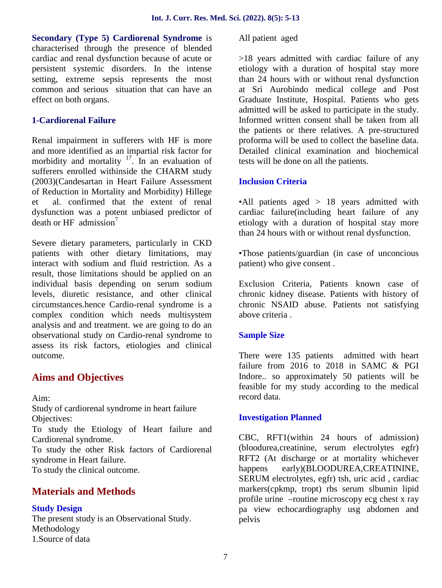**Secondary (Type 5) Cardiorenal Syndrome** is characterised through the presence of blended cardiac and renal dysfunction because of acute or persistent systemic disorders. In the intense setting, extreme sepsis represents the most common and serious situation that can have an effect on both organs.

# **1-Cardiorenal Failure**

Renal impairment in sufferers with HF is more and more identified as an impartial risk factor for morbidity and mortality  $17 \text{ m}$  an evaluation of sufferers enrolled withinside the CHARM study (2003)(Candesartan in Heart Failure Assessment of Reduction in Mortality and Morbidity) Hillege et al. confirmed that the extent of renal dysfunction was a potent unbiased predictor of death or HF admission<sup>7</sup>

Severe dietary parameters, particularly in CKD patients with other dietary limitations, may interact with sodium and fluid restriction. As a result, those limitations should be applied on an individual basis depending on serum sodium levels, diuretic resistance, and other clinical circumstances.hence Cardio-renal syndrome is a complex condition which needs multisystem analysis and and treatment. we are going to do an observational study on Cardio-renal syndrome to assess its risk factors, etiologies and clinical outcome.

# **Aims and Objectives**

Aim:

Study of cardiorenal syndrome in heart failure Objectives:

To study the Etiology of Heart failure and Cardiorenal syndrome.

To study the other Risk factors of Cardiorenal syndrome in Heart failure.

To study the clinical outcome.

# **Materials and Methods**

# **Study Design**

The present study is an Observational Study. Methodology 1.Source of data

All patient aged

>18 years admitted with cardiac failure of any etiology with a duration of hospital stay more than 24 hours with or without renal dysfunction at Sri Aurobindo medical college and Post Graduate Institute, Hospital. Patients who gets admitted will be asked to participate in the study. Informed written consent shall be taken from all the patients or there relatives. A pre-structured proforma will be used to collect the baseline data. Detailed clinical examination and biochemical tests will be done on all the patients.

# **Inclusion Criteria**

•All patients aged > 18 years admitted with cardiac failure(including heart failure of any etiology with a duration of hospital stay more than 24 hours with or without renal dysfunction.

•Those patients/guardian (in case of unconcious patient) who give consent .

Exclusion Criteria, Patients known case of chronic kidney disease. Patients with history of chronic NSAID abuse. Patients not satisfying above criteria .

# **Sample Size**

There were 135 patients admitted with heart failure from 2016 to 2018 in SAMC & PGI Indore.. so approximately 50 patients will be feasible for my study according to the medical record data.

# **Investigation Planned**

CBC, RFT1(within 24 hours of admission) (bloodurea,creatinine, serum electrolytes egfr) RFT2 (At discharge or at mortality whichever happens early)(BLOODUREA,CREATININE, SERUM electrolytes, egfr) tsh, uric acid , cardiac markers(cpkmp, tropt) rbs serum slbumin lipid profile urine –routine microscopy ecg chest x ray pa view echocardiography usg abdomen and pelvis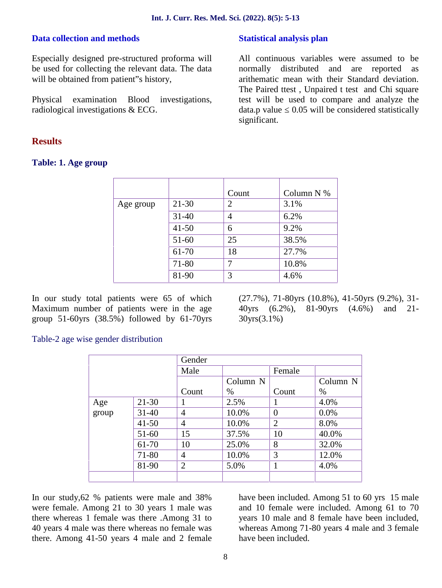### **Data collection and methods**

Especially designed pre-structured proforma will be used for collecting the relevant data. The data will be obtained from patient"s history,

Physical examination Blood investigations, radiological investigations & ECG.

# **Results**

#### **Table: 1. Age group**

#### **Statistical analysis plan**

All continuous variables were assumed to be normally distributed and are reported as arithematic mean with their Standard deviation. The Paired ttest, Unpaired t test and Chi square test will be used to compare and analyze the data.p value 0.05 will be considered statistically significant.

|           |           | Count | Column $N$ % |
|-----------|-----------|-------|--------------|
| Age group | $21 - 30$ | 2     | 3.1%         |
|           | $31 - 40$ | 4     | 6.2%         |
|           | $41 - 50$ | 6     | 9.2%         |
|           | 51-60     | 25    | 38.5%        |
|           | 61-70     | 18    | 27.7%        |
|           | 71-80     | 7     | 10.8%        |
|           | 81-90     | 3     | 4.6%         |

In our study total patients were 65 of which Maximum number of patients were in the age group 51-60yrs (38.5%) followed by 61-70yrs (27.7%), 71-80yrs (10.8%), 41-50yrs (9.2%), 31- 40yrs (6.2%), 81-90yrs (4.6%) and 21- 30yrs(3.1%)

#### Table-2 age wise gender distribution

|       |           | Gender         |          |                |                     |
|-------|-----------|----------------|----------|----------------|---------------------|
|       |           | Male           |          | Female         |                     |
|       |           |                | Column N |                | Column <sub>N</sub> |
|       |           | Count          | $\%$     | Count          | $\%$                |
| Age   | $21 - 30$ |                | 2.5%     | 1              | 4.0%                |
| group | $31 - 40$ | $\overline{4}$ | 10.0%    | $\overline{0}$ | 0.0%                |
|       | $41 - 50$ | $\overline{4}$ | 10.0%    | $\overline{2}$ | 8.0%                |
|       | $51-60$   | 15             | 37.5%    | 10             | 40.0%               |
|       | 61-70     | 10             | 25.0%    | 8              | 32.0%               |
|       | 71-80     | $\overline{4}$ | 10.0%    | 3              | 12.0%               |
|       | 81-90     | $\overline{2}$ | 5.0%     | 1              | 4.0%                |
|       |           |                |          |                |                     |

In our study,62 % patients were male and 38% were female. Among 21 to 30 years 1 male was there whereas 1 female was there .Among 31 to 40 years 4 male was there whereas no female was there. Among 41-50 years 4 male and 2 female have been included. Among 51 to 60 yrs 15 male and 10 female were included. Among 61 to 70 years 10 male and 8 female have been included, whereas Among 71-80 years 4 male and 3 female have been included.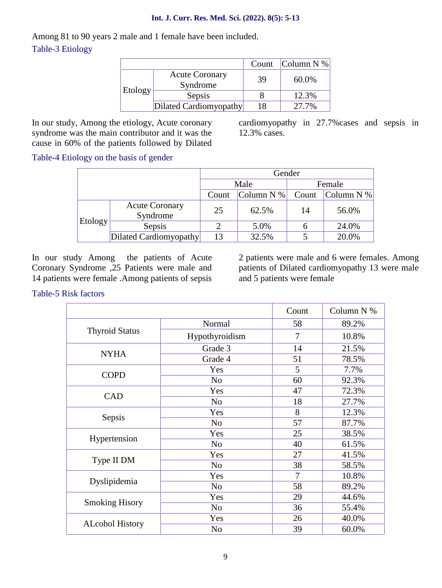#### **Int. J. Curr. Res. Med. Sci. (2022). 8(5): 5-13**

Among 81 to 90 years 2 male and 1 female have been included. Table-3 Etiology

|         |                                   | Count | Column N % |
|---------|-----------------------------------|-------|------------|
|         | <b>Acute Coronary</b><br>Syndrome | 39    | 60.0%      |
| Etology | Sepsis                            |       | 12.3%      |
|         | Dilated Cardiomyopathy            | 18    | 27.7%      |

In our study, Among the etiology, Acute coronary syndrome was the main contributor and it was the cause in 60% of the patients followed by Dilated cardiomyopathy in 27.7%cases and sepsis in 12.3% cases.

Table-4 Etiology on the basis of gender

|         |                                   | Gender |              |        |            |  |
|---------|-----------------------------------|--------|--------------|--------|------------|--|
|         |                                   | Male   |              | Female |            |  |
|         |                                   | Count  | Column $N$ % | Count  | Column N % |  |
| Etology | <b>Acute Coronary</b><br>Syndrome | 25     | 62.5%        | 14     | 56.0%      |  |
|         | Sepsis                            |        | 5.0%         |        | 24.0%      |  |
|         | Dilated Cardiomyopathy            | 13     | 32.5%        |        | 20.0%      |  |

In our study Among the patients of Acute Coronary Syndrome ,25 Patients were male and 14 patients were female .Among patients of sepsis

2 patients were male and 6 were females. Among patients of Dilated cardiomyopathy 13 were male and 5 patients were female

Table-5 Risk factors

|                        |                | Count | Column N % |
|------------------------|----------------|-------|------------|
|                        | Normal         | 58    | 89.2%      |
| <b>Thyroid Status</b>  | Hypothyroidism | 7     | 10.8%      |
|                        | Grade 3        | 14    | 21.5%      |
| <b>NYHA</b>            | Grade 4        | 51    | 78.5%      |
| <b>COPD</b>            | Yes            | 5     | 7.7%       |
|                        | N <sub>o</sub> | 60    | 92.3%      |
| <b>CAD</b>             | Yes            | 47    | 72.3%      |
|                        | N <sub>o</sub> | 18    | 27.7%      |
|                        | Yes            | 8     | 12.3%      |
| Sepsis                 | N <sub>o</sub> | 57    | 87.7%      |
| Hypertension           | Yes            | 25    | 38.5%      |
|                        | N <sub>o</sub> | 40    | 61.5%      |
| Type II DM             | Yes            | 27    | 41.5%      |
|                        | No             | 38    | 58.5%      |
| Dyslipidemia           | Yes            | 7     | 10.8%      |
|                        | N <sub>o</sub> | 58    | 89.2%      |
| <b>Smoking Hisory</b>  | Yes            | 29    | 44.6%      |
|                        | N <sub>o</sub> | 36    | 55.4%      |
| <b>ALcohol History</b> | Yes            | 26    | 40.0%      |
|                        | N <sub>o</sub> | 39    | 60.0%      |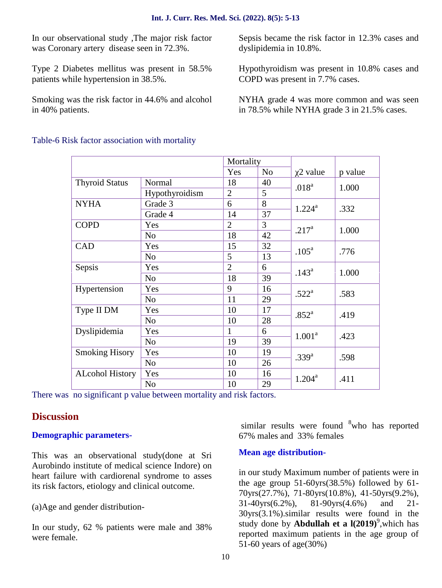In our observational study ,The major risk factor was Coronary artery disease seen in 72.3%.

Type 2 Diabetes mellitus was present in 58.5% patients while hypertension in 38.5%.

Smoking was the risk factor in 44.6% and alcohol in 40% patients.

Sepsis became the risk factor in 12.3% cases and dyslipidemia in 10.8%.

Hypothyroidism was present in 10.8% cases and COPD was present in 7.7% cases.

NYHA grade 4 was more common and was seen in 78.5% while NYHA grade 3 in 21.5% cases.

|                        |                | Mortality      |                |                   |         |
|------------------------|----------------|----------------|----------------|-------------------|---------|
|                        |                | Yes            | N <sub>o</sub> | 2 value           | p value |
| <b>Thyroid Status</b>  | Normal         | 18             | 40             |                   |         |
|                        | Hypothyroidism | $\overline{2}$ | 5              | .018 <sup>a</sup> | 1.000   |
| <b>NYHA</b>            | Grade 3        | 6              | 8              | $1.224^{\rm a}$   | .332    |
|                        | Grade 4        | 14             | 37             |                   |         |
| <b>COPD</b>            | Yes            | $\overline{2}$ | $\overline{3}$ | $.217^{\rm a}$    |         |
|                        | N <sub>o</sub> | 18             | 42             |                   | 1.000   |
| CAD                    | Yes            | 15             | 32             | .105 <sup>a</sup> | .776    |
|                        | N <sub>o</sub> | 5              | 13             |                   |         |
| Sepsis                 | Yes            | $\overline{2}$ | 6              | $.143^{\circ}$    | 1.000   |
|                        | N <sub>o</sub> | 18             | 39             |                   |         |
| Hypertension           | Yes            | 9              | 16             | .522 <sup>a</sup> | .583    |
|                        | N <sub>o</sub> | 11             | 29             |                   |         |
| Type II DM             | Yes            | 10             | 17             | .852 <sup>a</sup> | .419    |
|                        | N <sub>o</sub> | 10             | 28             |                   |         |
| Dyslipidemia           | Yes            | 1              | 6              | $1.001^a$         | .423    |
|                        | N <sub>o</sub> | 19             | 39             |                   |         |
| <b>Smoking Hisory</b>  | Yes            | 10             | 19             | $.339^{a}$        | .598    |
|                        | N <sub>o</sub> | 10             | 26             |                   |         |
| <b>ALcohol History</b> | Yes            | 10             | 16             | $1.204^{\rm a}$   | .411    |
|                        | N <sub>o</sub> | 10             | 29             |                   |         |

Table-6 Risk factor association with mortality

There was no significant p value between mortality and risk factors.

# **Discussion**

# **Demographic parameters-**

This was an observational study(done at Sri Aurobindo institute of medical science Indore) on heart failure with cardiorenal syndrome to asses its risk factors, etiology and clinical outcome.

(a)Age and gender distribution-

In our study, 62 % patients were male and 38% were female.

similar results were found <sup>8</sup>who has reported 67% males and 33% females

# **Mean age distribution-**

in our study Maximum number of patients were in the age group 51-60yrs(38.5%) followed by 61- 70yrs(27.7%), 71-80yrs(10.8%), 41-50yrs(9.2%), 31-40yrs(6.2%), 81-90yrs(4.6%) and 21- 30yrs(3.1%).similar results were found in the study done by **Abdullah et a l(2019**)<sup>9</sup>, which has reported maximum patients in the age group of 51-60 years of age(30%)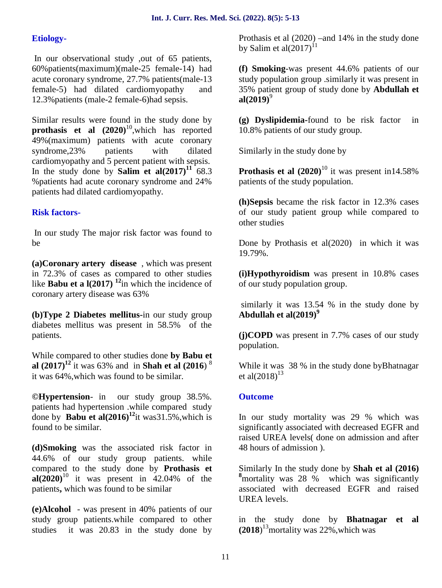# **Etiology-**

In our observational study ,out of 65 patients, 60%patients(maximum)(male-25 female-14) had acute coronary syndrome, 27.7% patients(male-13 female-5) had dilated cardiomyopathy and 12.3%patients (male-2 female-6)had sepsis.

Similar results were found in the study done by **prothasis et al**  $(2020)^{10}$ , which has reported 49%(maximum) patients with acute coronary syndrome,23% patients with dilated cardiomyopathy and 5 percent patient with sepsis. In the study done by **Salim et al(2017)<sup>11</sup>** 68.3 %patients had acute coronary syndrome and 24% patients had dilated cardiomyopathy.

# **Risk factors-**

In our study The major risk factor was found to be

**(a)Coronary artery disease** , which was present in 72.3% of cases as compared to other studies like **Babu et a**  $\frac{1}{2017}$   $\frac{12}{11}$  which the incidence of coronary artery disease was 63%

**(b)Type 2 Diabetes mellitus-**in our study group diabetes mellitus was present in 58.5% of the patients.

While compared to other studies done **by Babu et al (2017)<sup>12</sup>** it was 63% and in **Shah et al (2016**) <sup>8</sup> it was 64%,which was found to be similar.

**©Hypertension**- in our study group 38.5%. patients had hypertension .while compared study done by **Babu et al(2016)<sup>12</sup>**it was31.5%,which is found to be similar.

**(d)Smoking** was the associated risk factor in 44.6% of our study group patients. while compared to the study done by **Prothasis et al(2020)**<sup>10</sup> it was present in 42.04% of the patients**,** which was found to be similar

**(e)Alcohol** - was present in 40% patients of our study group patients.while compared to other studies it was 20.83 in the study done by Prothasis et al (2020) –and 14% in the study done by Salim et al $(2017)^{11}$ 

**(f) Smoking**-was present 44.6% patients of our study population group .similarly it was present in 35% patient group of study done by **Abdullah et al**(2019)<sup>9</sup>

**(g) Dyslipidemia-**found to be risk factor in 10.8% patients of our study group.

Similarly in the study done by

**Prothasis et al**  $(2020)^{10}$  **it was present in14.58%** patients of the study population.

**(h)Sepsis** became the risk factor in 12.3% cases of our study patient group while compared to other studies

Done by Prothasis et al(2020) in which it was 19.79%.

**(i)Hypothyroidism** was present in 10.8% cases of our study population group.

similarly it was 13.54 % in the study done by **Abdullah et al(2019)<sup>9</sup>**

**(j)COPD** was present in 7.7% cases of our study population.

While it was 38 % in the study done byBhatnagar et al $(2018)^{13}$ 

# **Outcome**

In our study mortality was 29 % which was significantly associated with decreased EGFR and raised UREA levels( done on admission and after 48 hours of admission ).

Similarly In the study done by **Shah et al (2016) <sup>8</sup>**mortality was 28 % which was significantly associated with decreased EGFR and raised UREA levels.

in the study done by **Bhatnagar et al**  $(2018)^{13}$ mortality was 22%, which was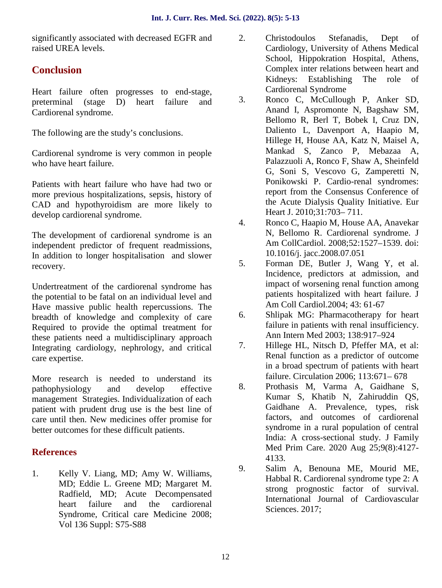significantly associated with decreased EGFR and 2. raised UREA levels.

# **Conclusion**

Heart failure often progresses to end-stage, preterminal (stage D) heart failure and 3. Cardiorenal syndrome.

The following are the study's conclusions.

Cardiorenal syndrome is very common in people who have heart failure.

Patients with heart failure who have had two or more previous hospitalizations, sepsis, history of CAD and hypothyroidism are more likely to develop cardiorenal syndrome.

The development of cardiorenal syndrome is an independent predictor of frequent readmissions, In addition to longer hospitalisation and slower recovery.

Undertreatment of the cardiorenal syndrome has the potential to be fatal on an individual level and Have massive public health repercussions. The<br>headth of knowledge and complexity of early breadth of knowledge and complexity of care Required to provide the optimal treatment for these patients need a multidisciplinary approach<br>Integrating cardiology nephrology and critical  $\frac{7}{100}$ . Integrating cardiology, nephrology, and critical care expertise.

More research is needed to understand its pathophysiology and develop effective management Strategies. Individualization of each patient with prudent drug use is the best line of care until then. New medicines offer promise for better outcomes for these difficult patients.

# **References**

1. Kelly V. Liang, MD; Amy W. Williams, MD; Eddie L. Greene MD; Margaret M. Radfield, MD; Acute Decompensated heart failure and the cardiorenal Syndrome, Critical care Medicine 2008; Vol 136 Suppl: S75-S88

- 2. Christodoulos Stefanadis, Dept of Cardiology, University of Athens Medical School, Hippokration Hospital, Athens, Complex inter relations between heart and Kidneys: Establishing The role of Cardiorenal Syndrome
- Ronco C, McCullough P, Anker SD, Anand I, Aspromonte N, Bagshaw SM, Bellomo R, Berl T, Bobek I, Cruz DN, Daliento L, Davenport A, Haapio M, Hillege H, House AA, Katz N, Maisel A, Mankad S, Zanco P, Mebazaa A, Palazzuoli A, Ronco F, Shaw A, Sheinfeld G, Soni S, Vescovo G, Zamperetti N, Ponikowski P. Cardio-renal syndromes: report from the Consensus Conference of the Acute Dialysis Quality Initiative. Eur Heart J. 2010;31:703– 711.
- 4. Ronco C, Haapio M, House AA, Anavekar N, Bellomo R. Cardiorenal syndrome. J Am CollCardiol. 2008;52:1527–1539. doi: 10.1016/j. jacc.2008.07.051
- 5. Forman DE, Butler J, Wang Y, et al. Incidence, predictors at admission, and impact of worsening renal function among patients hospitalized with heart failure. J Am Coll Cardiol.2004; 43: 61-67
- Shlipak MG: Pharmacotherapy for heart failure in patients with renal insufficiency. Ann Intern Med 2003; 138:917–924
- Hillege HL, Nitsch D, Pfeffer MA, et al: Renal function as a predictor of outcome in a broad spectrum of patients with heart failure. Circulation 2006; 113:671– 678
- 8. Prothasis M, Varma A, Gaidhane S, Kumar S, Khatib N, Zahiruddin QS, Gaidhane A. Prevalence, types, risk factors, and outcomes of cardiorenal syndrome in a rural population of central India: A cross-sectional study. J Family Med Prim Care. 2020 Aug 25;9(8):4127- 4133.
- 9. Salim A, Benouna ME, Mourid ME, Habbal R. Cardiorenal syndrome type 2: A strong prognostic factor of survival. International Journal of Cardiovascular Sciences. 2017;